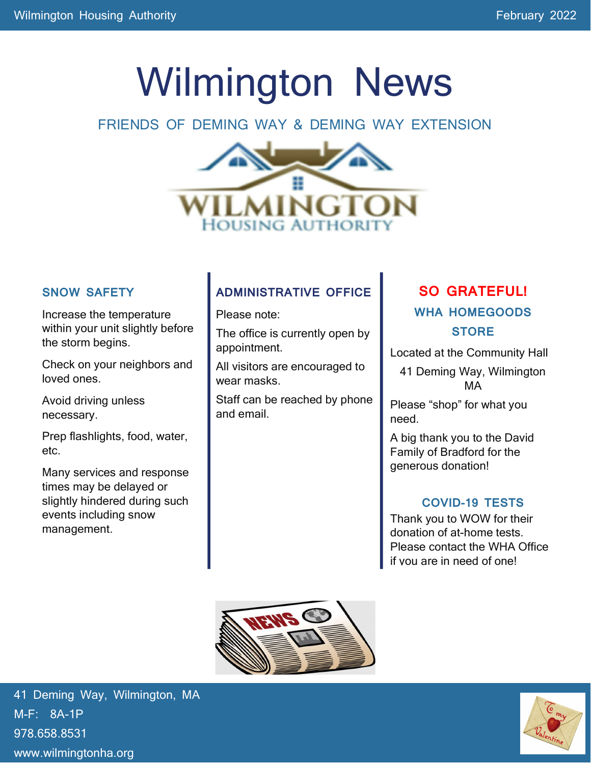# Wilmington News

### FRIENDS OF DEMING WAY & DEMING WAY EXTENSION



#### SNOW SAFETY

Increase the temperature within your unit slightly before the storm begins.

Check on your neighbors and loved ones.

Avoid driving unless necessary.

Prep flashlights, food, water, etc.

Many services and response times may be delayed or slightly hindered during such events including snow management.

### ADMINISTRATIVE OFFICE

Please note:

The office is currently open by appointment.

All visitors are encouraged to wear masks.

Staff can be reached by phone and email.

# SO GRATEFUL! WHA HOMEGOODS **STORE**

Located at the Community Hall

41 Deming Way, Wilmington MA

Please "shop" for what you need.

A big thank you to the David Family of Bradford for the generous donation!

#### COVID-19 TESTS

Thank you to WOW for their donation of at-home tests. Please contact the WHA Office if you are in need of one!



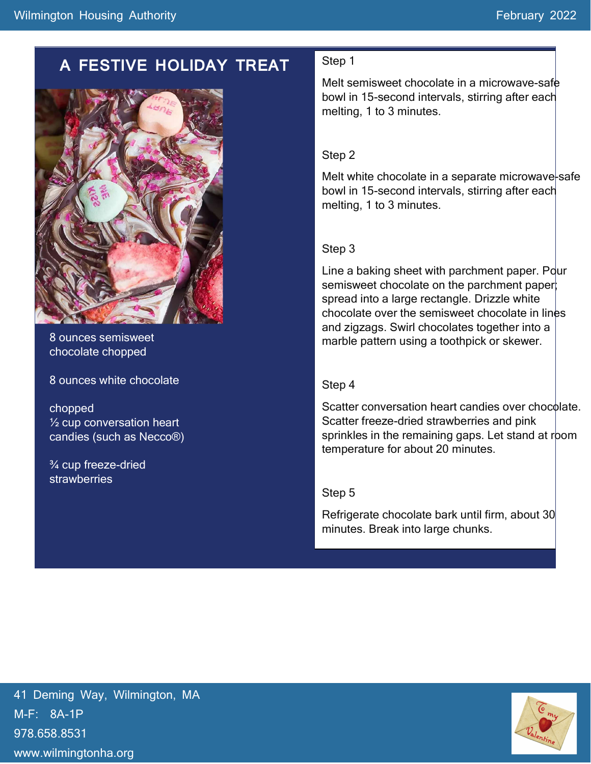# A FESTIVE HOLIDAY TREAT



8 ounces semisweet chocolate chopped

8 ounces white chocolate

chopped ½ cup conversation heart candies (such as Necco®)

¾ cup freeze-dried strawberries

#### Step 1

Melt semisweet chocolate in a microwave-safe bowl in 15-second intervals, stirring after each melting, 1 to 3 minutes.

#### Step 2

Melt white chocolate in a separate microwave-safe bowl in 15-second intervals, stirring after each melting, 1 to 3 minutes.

#### Step 3

Line a baking sheet with parchment paper. Pour semisweet chocolate on the parchment paper; spread into a large rectangle. Drizzle white chocolate over the semisweet chocolate in lines and zigzags. Swirl chocolates together into a marble pattern using a toothpick or skewer.

#### Step 4

Scatter conversation heart candies over chocolate. Scatter freeze-dried strawberries and pink sprinkles in the remaining gaps. Let stand at room temperature for about 20 minutes.

#### Step 5

Refrigerate chocolate bark until firm, about 30 minutes. Break into large chunks.

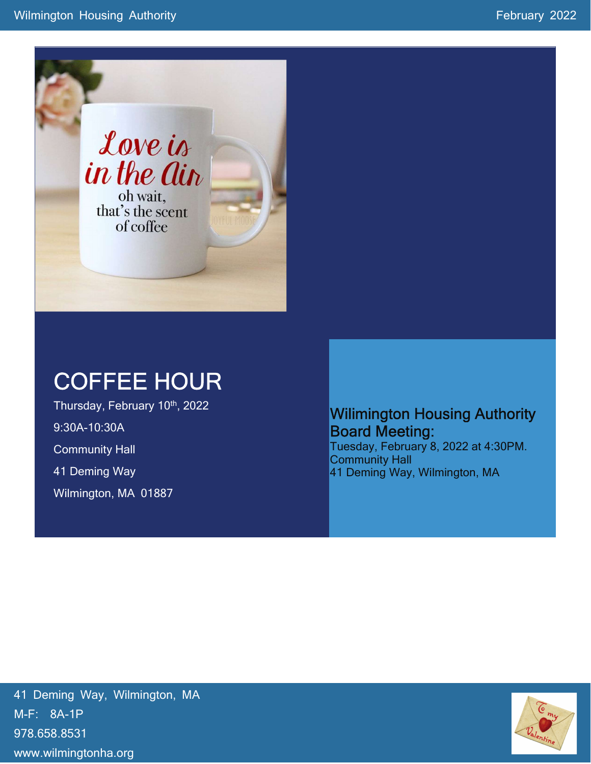

# COFFEE HOUR

Thursday, February 10th, 2022 9:30A-10:30A Community Hall 41 Deming Way Wilmington, MA 01887

## Wilimington Housing Authority Board Meeting:

Tuesday, February 8, 2022 at 4:30PM. Community Hall 41 Deming Way, Wilmington, MA

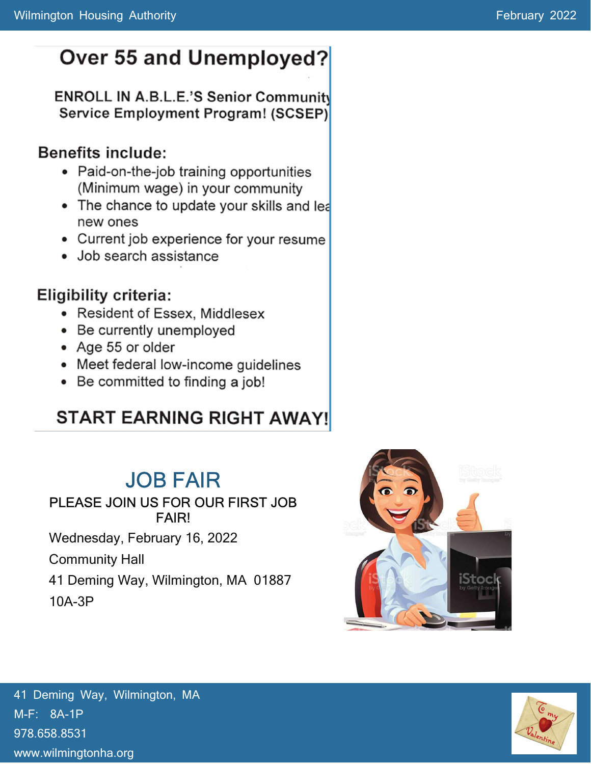# Over 55 and Unemployed?

### **ENROLL IN A.B.L.E.'S Senior Community** Service Employment Program! (SCSEP)

# **Benefits include:**

- Paid-on-the-job training opportunities (Minimum wage) in your community
- The chance to update your skills and lea new ones
- Current job experience for your resume
- Job search assistance

# **Eligibility criteria:**

- Resident of Essex, Middlesex
- Be currently unemployed
- Age 55 or older
- Meet federal low-income guidelines
- Be committed to finding a job!

# **START EARNING RIGHT AWAY!**

# JOB FAIR

### PLEASE JOIN US FOR OUR FIRST JOB FAIR!

Wednesday, February 16, 2022

Community Hall

41 Deming Way, Wilmington, MA 01887 10A-3P